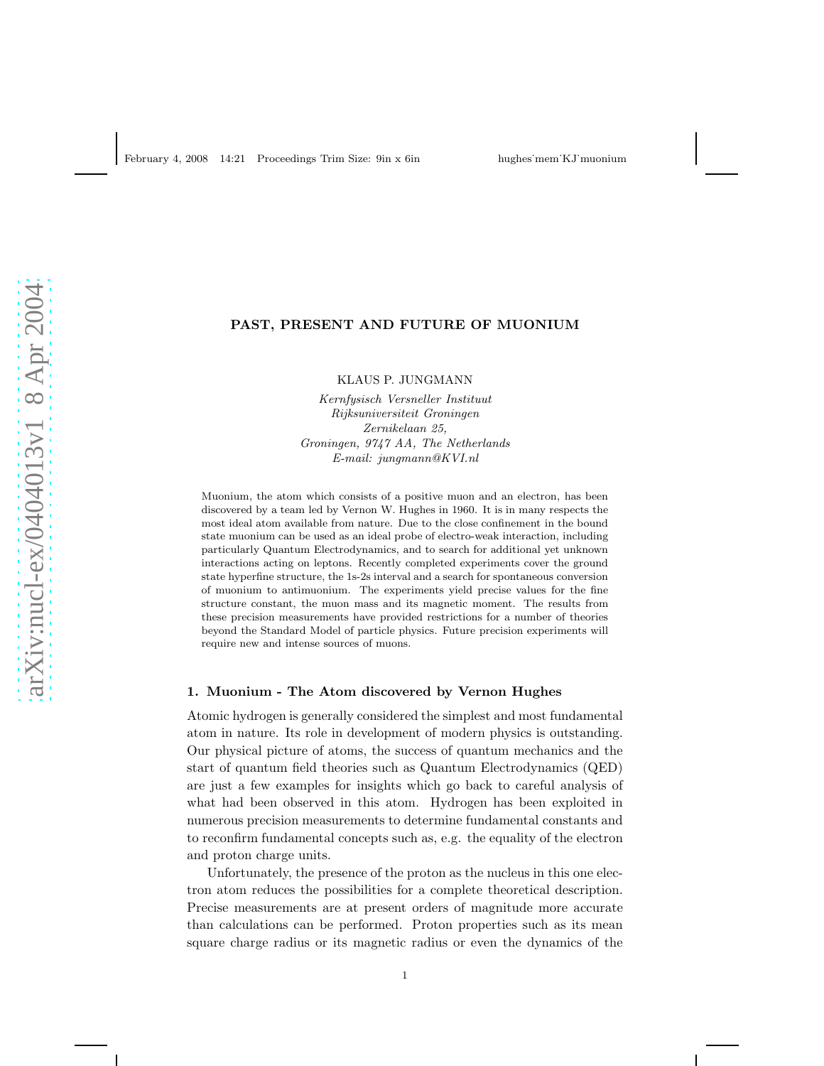# PAST, PRESENT AND FUTURE OF MUONIUM

KLAUS P. JUNGMANN

*Kernfysisch Versneller Instituut Rijksuniversiteit Groningen Zernikelaan 25, Groningen, 9747 AA, The Netherlands E-mail: jungmann@KVI.nl*

Muonium, the atom which consists of a positive muon and an electron, has been discovered by a team led by Vernon W. Hughes in 1960. It is in many respects the most ideal atom available from nature. Due to the close confinement in the bound state muonium can be used as an ideal probe of electro-weak interaction, including particularly Quantum Electrodynamics, and to search for additional yet unknown interactions acting on leptons. Recently completed experiments cover the ground state hyperfine structure, the 1s-2s interval and a search for spontaneous conversion of muonium to antimuonium. The experiments yield precise values for the fine structure constant, the muon mass and its magnetic moment. The results from these precision measurements have provided restrictions for a number of theories beyond the Standard Model of particle physics. Future precision experiments will require new and intense sources of muons.

#### 1. Muonium - The Atom discovered by Vernon Hughes

Atomic hydrogen is generally considered the simplest and most fundamental atom in nature. Its role in development of modern physics is outstanding. Our physical picture of atoms, the success of quantum mechanics and the start of quantum field theories such as Quantum Electrodynamics (QED) are just a few examples for insights which go back to careful analysis of what had been observed in this atom. Hydrogen has been exploited in numerous precision measurements to determine fundamental constants and to reconfirm fundamental concepts such as, e.g. the equality of the electron and proton charge units.

Unfortunately, the presence of the proton as the nucleus in this one electron atom reduces the possibilities for a complete theoretical description. Precise measurements are at present orders of magnitude more accurate than calculations can be performed. Proton properties such as its mean square charge radius or its magnetic radius or even the dynamics of the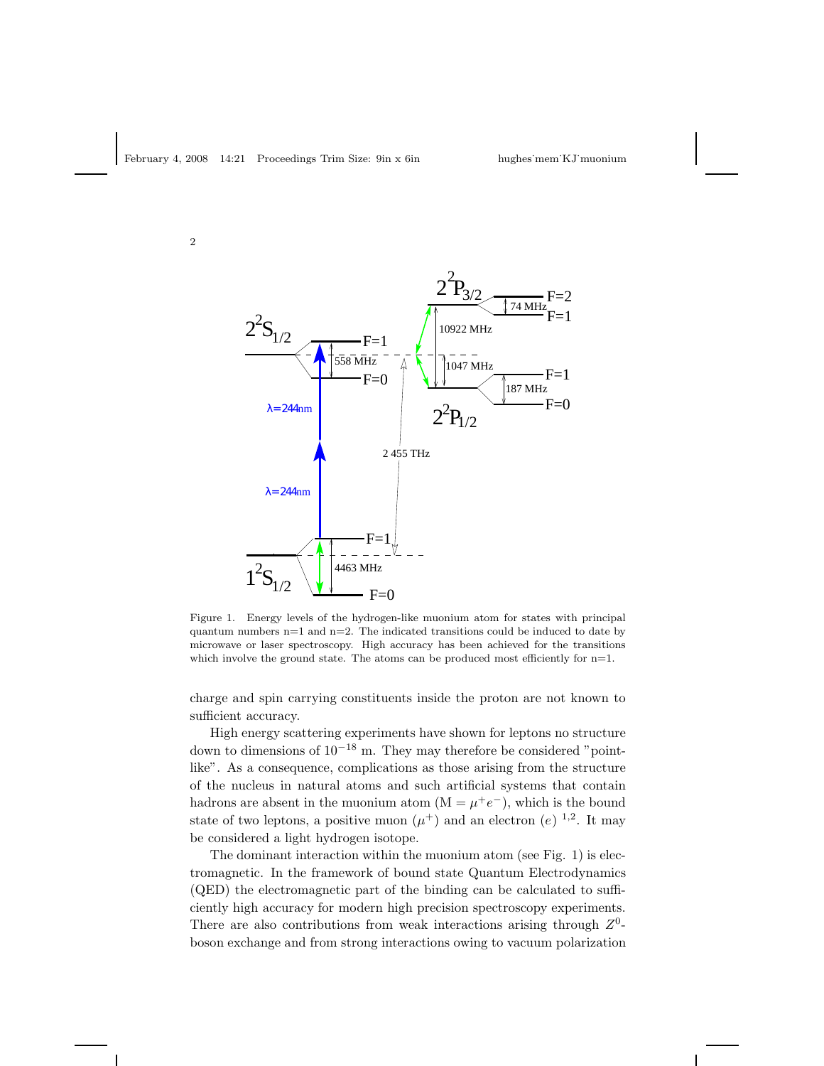

Figure 1. Energy levels of the hydrogen-like muonium atom for states with principal quantum numbers  $n=1$  and  $n=2$ . The indicated transitions could be induced to date by microwave or laser spectroscopy. High accuracy has been achieved for the transitions which involve the ground state. The atoms can be produced most efficiently for  $n=1$ .

charge and spin carrying constituents inside the proton are not known to sufficient accuracy.

High energy scattering experiments have shown for leptons no structure down to dimensions of  $10^{-18}$  m. They may therefore be considered "pointlike". As a consequence, complications as those arising from the structure of the nucleus in natural atoms and such artificial systems that contain hadrons are absent in the muonium atom  $(M = \mu^+e^-)$ , which is the bound state of two leptons, a positive muon  $(\mu^+)$  and an electron  $(e)^{1,2}$ . It may be considered a light hydrogen isotope.

The dominant interaction within the muonium atom (see Fig. 1) is electromagnetic. In the framework of bound state Quantum Electrodynamics (QED) the electromagnetic part of the binding can be calculated to sufficiently high accuracy for modern high precision spectroscopy experiments. There are also contributions from weak interactions arising through  $Z<sup>0</sup>$ boson exchange and from strong interactions owing to vacuum polarization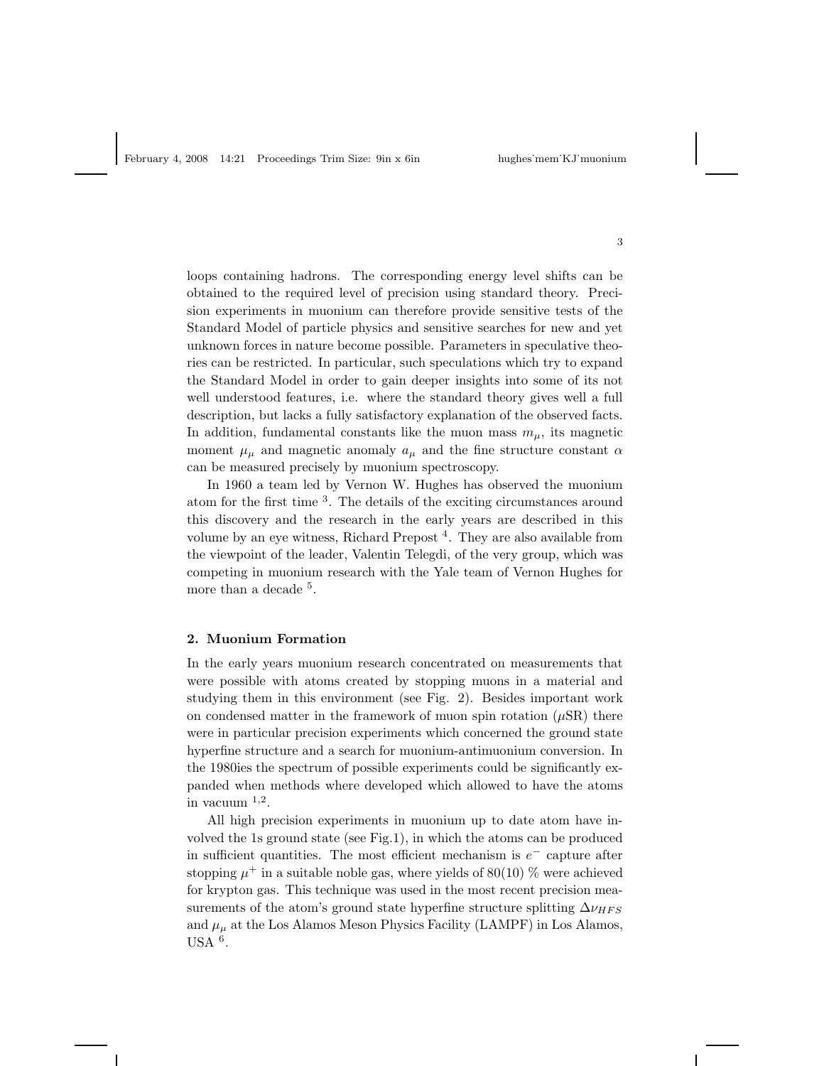loops containing hadrons. The corresponding energy level shifts can be obtained to the required level of precision using standard theory. Precision experiments in muonium can therefore provide sensitive tests of the Standard Model of particle physics and sensitive searches for new and yet unknown forces in nature become possible. Parameters in speculative theories can be restricted. In particular, such speculations which try to expand the Standard Model in order to gain deeper insights into some of its not well understood features, i.e. where the standard theory gives well a full description, but lacks a fully satisfactory explanation of the observed facts. In addition, fundamental constants like the muon mass  $m_{\mu}$ , its magnetic moment  $\mu_{\mu}$  and magnetic anomaly  $a_{\mu}$  and the fine structure constant  $\alpha$ can be measured precisely by muonium spectroscopy.

In 1960 a team led by Vernon W. Hughes has observed the muonium atom for the first time <sup>3</sup> . The details of the exciting circumstances around this discovery and the research in the early years are described in this volume by an eye witness, Richard Prepost<sup>4</sup>. They are also available from the viewpoint of the leader, Valentin Telegdi, of the very group, which was competing in muonium research with the Yale team of Vernon Hughes for more than a decade <sup>5</sup>.

# 2. Muonium Formation

In the early years muonium research concentrated on measurements that were possible with atoms created by stopping muons in a material and studying them in this environment (see Fig. 2). Besides important work on condensed matter in the framework of muon spin rotation  $(\mu SR)$  there were in particular precision experiments which concerned the ground state hyperfine structure and a search for muonium-antimuonium conversion. In the 1980ies the spectrum of possible experiments could be significantly expanded when methods where developed which allowed to have the atoms in vacuum  $1,2$ .

All high precision experiments in muonium up to date atom have involved the 1s ground state (see Fig.1), in which the atoms can be produced in sufficient quantities. The most efficient mechanism is  $e^-$  capture after stopping  $\mu^+$  in a suitable noble gas, where yields of 80(10) % were achieved for krypton gas. This technique was used in the most recent precision measurements of the atom's ground state hyperfine structure splitting  $\Delta \nu_{HFS}$ and  $\mu_{\mu}$  at the Los Alamos Meson Physics Facility (LAMPF) in Los Alamos, USA  $^6$ .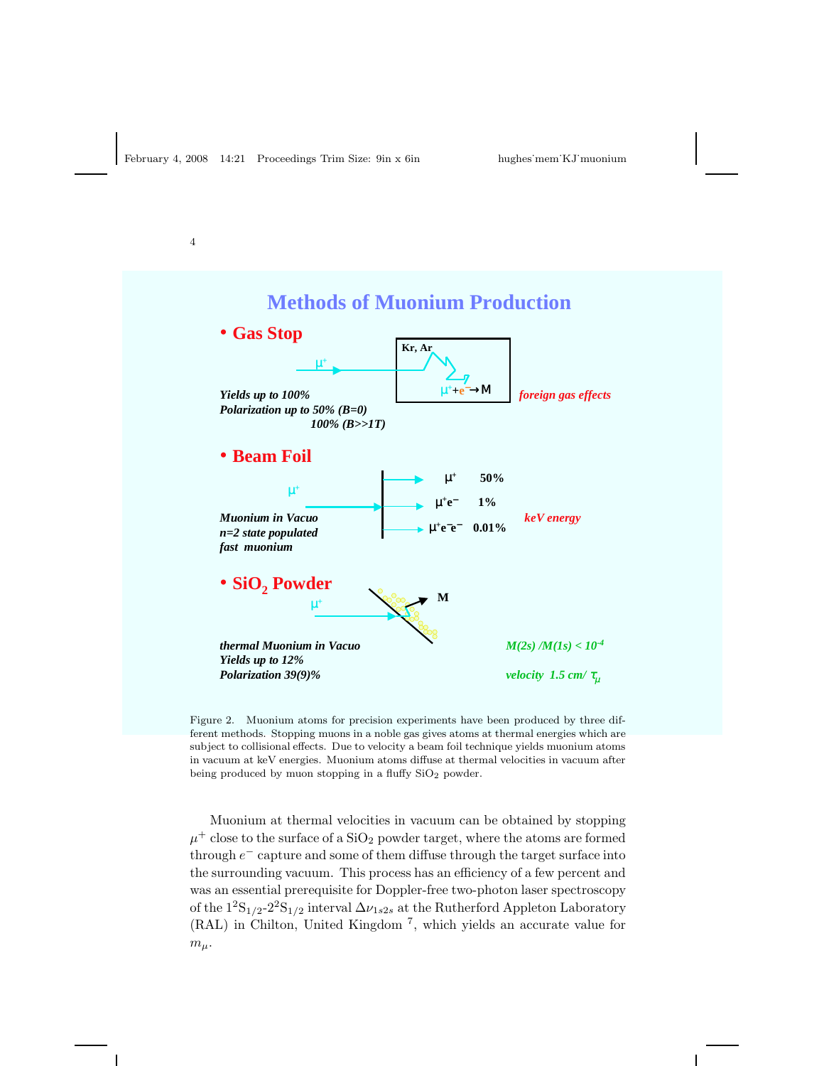

Figure 2. Muonium atoms for precision experiments have been produced by three different methods. Stopping muons in a noble gas gives atoms at thermal energies which are subject to collisional effects. Due to velocity a beam foil technique yields muonium atoms in vacuum at keV energies. Muonium atoms diffuse at thermal velocities in vacuum after being produced by muon stopping in a fluffy  $SiO<sub>2</sub>$  powder.

Muonium at thermal velocities in vacuum can be obtained by stopping  $\mu^+$  close to the surface of a SiO<sub>2</sub> powder target, where the atoms are formed through  $e^-$  capture and some of them diffuse through the target surface into the surrounding vacuum. This process has an efficiency of a few percent and was an essential prerequisite for Doppler-free two-photon laser spectroscopy of the  $1^{2}S_{1/2}^{-2^{2}S_{1/2}}$  interval  $\Delta \nu_{1s2s}$  at the Rutherford Appleton Laboratory (RAL) in Chilton, United Kingdom <sup>7</sup> , which yields an accurate value for  $m_{\mu}$ .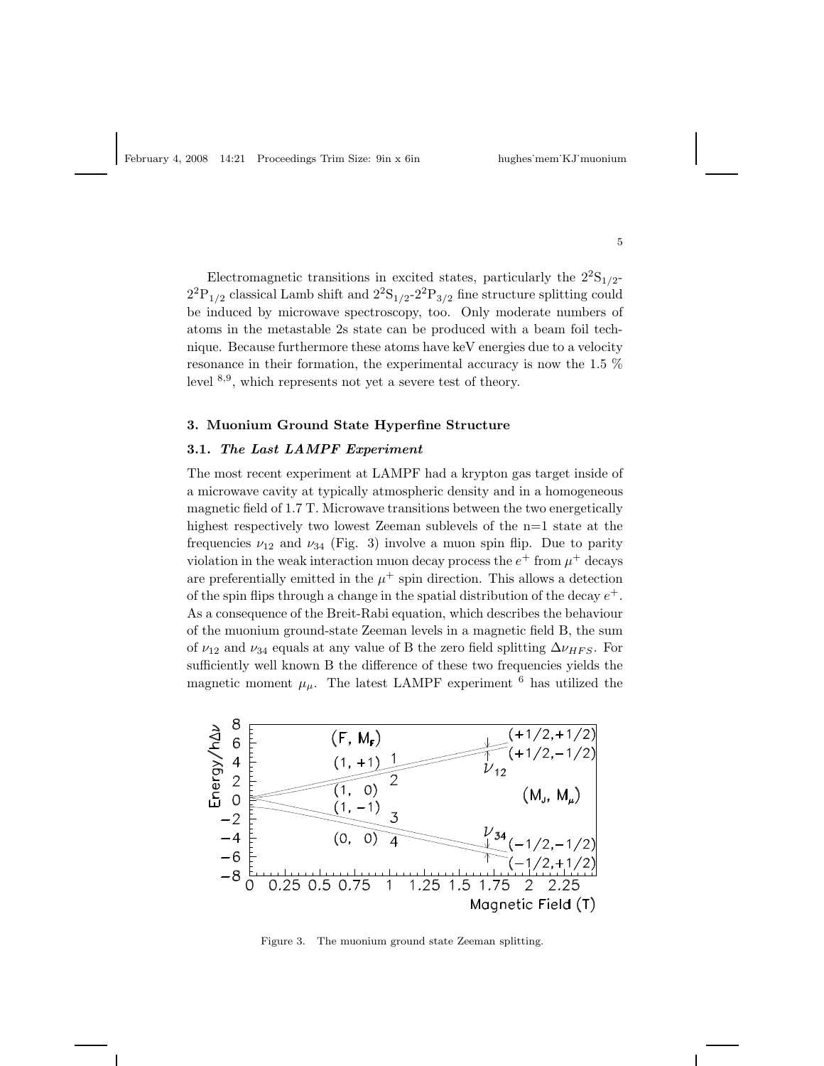Electromagnetic transitions in excited states, particularly the  $2^{2}S_{1/2}$ - $2^{2}P_{1/2}$  classical Lamb shift and  $2^{2}S_{1/2}$ - $2^{2}P_{3/2}$  fine structure splitting could be induced by microwave spectroscopy, too. Only moderate numbers of atoms in the metastable 2s state can be produced with a beam foil technique. Because furthermore these atoms have keV energies due to a velocity resonance in their formation, the experimental accuracy is now the 1.5 % level  $8.9$ , which represents not yet a severe test of theory.

## 3. Muonium Ground State Hyperfine Structure

# 3.1. The Last LAMPF Experiment

The most recent experiment at LAMPF had a krypton gas target inside of a microwave cavity at typically atmospheric density and in a homogeneous magnetic field of 1.7 T. Microwave transitions between the two energetically highest respectively two lowest Zeeman sublevels of the n=1 state at the frequencies  $\nu_{12}$  and  $\nu_{34}$  (Fig. 3) involve a muon spin flip. Due to parity violation in the weak interaction muon decay process the  $e^+$  from  $\mu^+$  decays are preferentially emitted in the  $\mu^+$  spin direction. This allows a detection of the spin flips through a change in the spatial distribution of the decay  $e^+$ . As a consequence of the Breit-Rabi equation, which describes the behaviour of the muonium ground-state Zeeman levels in a magnetic field B, the sum of  $\nu_{12}$  and  $\nu_{34}$  equals at any value of B the zero field splitting  $\Delta \nu_{HFS}$ . For sufficiently well known B the difference of these two frequencies yields the magnetic moment  $\mu_{\mu}$ . The latest LAMPF experiment <sup>6</sup> has utilized the



Figure 3. The muonium ground state Zeeman splitting.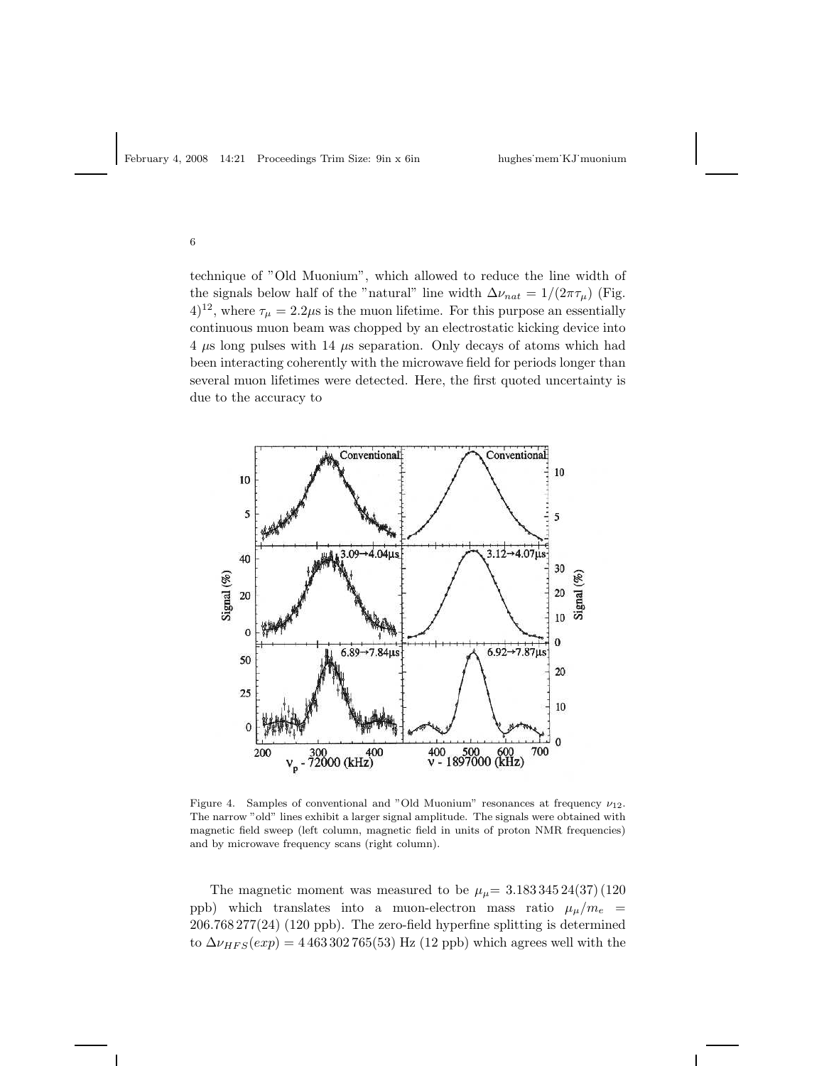technique of "Old Muonium", which allowed to reduce the line width of the signals below half of the "natural" line width  $\Delta\nu_{nat} = 1/(2\pi\tau_\mu)$  (Fig.  $(4)^{12}$ , where  $\tau_{\mu} = 2.2 \mu s$  is the muon lifetime. For this purpose an essentially continuous muon beam was chopped by an electrostatic kicking device into  $4 \mu s$  long pulses with 14  $\mu s$  separation. Only decays of atoms which had been interacting coherently with the microwave field for periods longer than several muon lifetimes were detected. Here, the first quoted uncertainty is due to the accuracy to



Figure 4. Samples of conventional and "Old Muonium" resonances at frequency  $\nu_{12}$ . The narrow "old" lines exhibit a larger signal amplitude. The signals were obtained with magnetic field sweep (left column, magnetic field in units of proton NMR frequencies) and by microwave frequency scans (right column).

The magnetic moment was measured to be  $\mu_{\mu}$  = 3.183 345 24(37) (120) ppb) which translates into a muon-electron mass ratio  $\mu_{\mu}/m_e$  = 206.768 277(24) (120 ppb). The zero-field hyperfine splitting is determined to  $\Delta\nu_{HFS}(exp) = 4463302765(53)$  Hz (12 ppb) which agrees well with the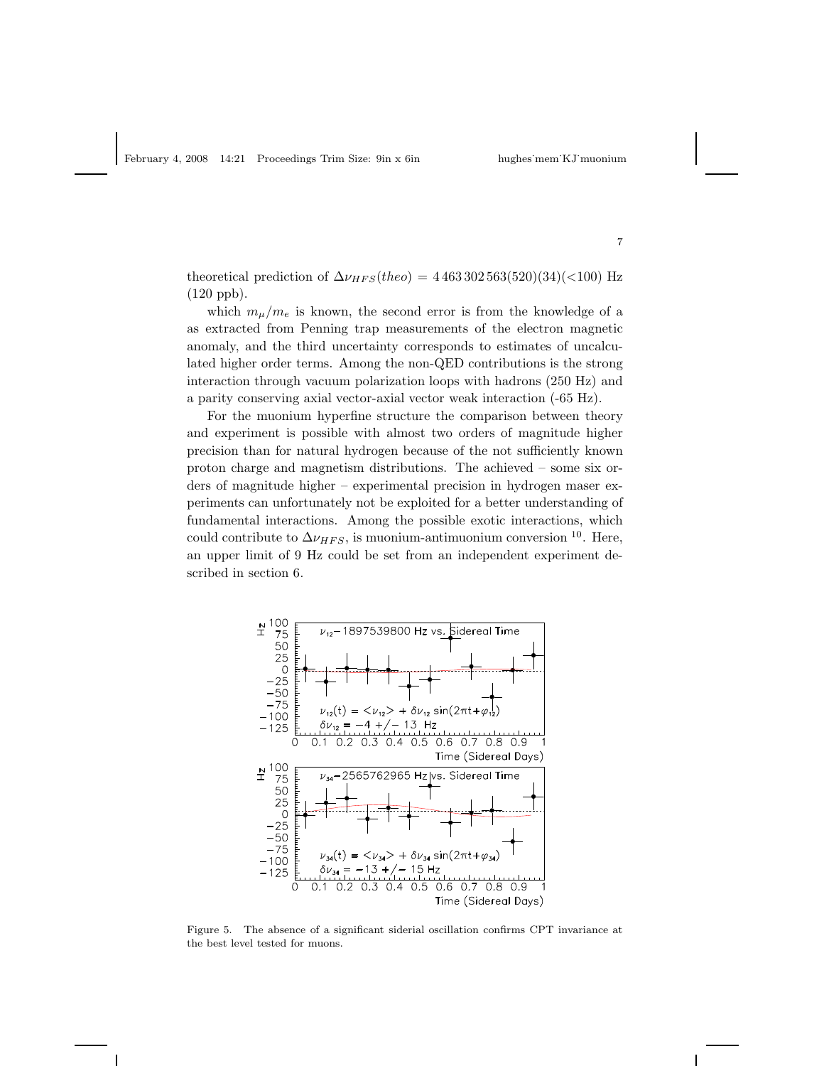theoretical prediction of  $\Delta\nu_{HFS}(theo) = 4463302563(520)(34)(<100)$  Hz (120 ppb).

which  $m_{\mu}/m_e$  is known, the second error is from the knowledge of a as extracted from Penning trap measurements of the electron magnetic anomaly, and the third uncertainty corresponds to estimates of uncalculated higher order terms. Among the non-QED contributions is the strong interaction through vacuum polarization loops with hadrons (250 Hz) and a parity conserving axial vector-axial vector weak interaction (-65 Hz).

For the muonium hyperfine structure the comparison between theory and experiment is possible with almost two orders of magnitude higher precision than for natural hydrogen because of the not sufficiently known proton charge and magnetism distributions. The achieved – some six orders of magnitude higher – experimental precision in hydrogen maser experiments can unfortunately not be exploited for a better understanding of fundamental interactions. Among the possible exotic interactions, which could contribute to  $\Delta\nu_{HFS}$ , is muonium-antimuonium conversion <sup>10</sup>. Here, an upper limit of 9 Hz could be set from an independent experiment described in section 6.



Figure 5. The absence of a significant siderial oscillation confirms CPT invariance at the best level tested for muons.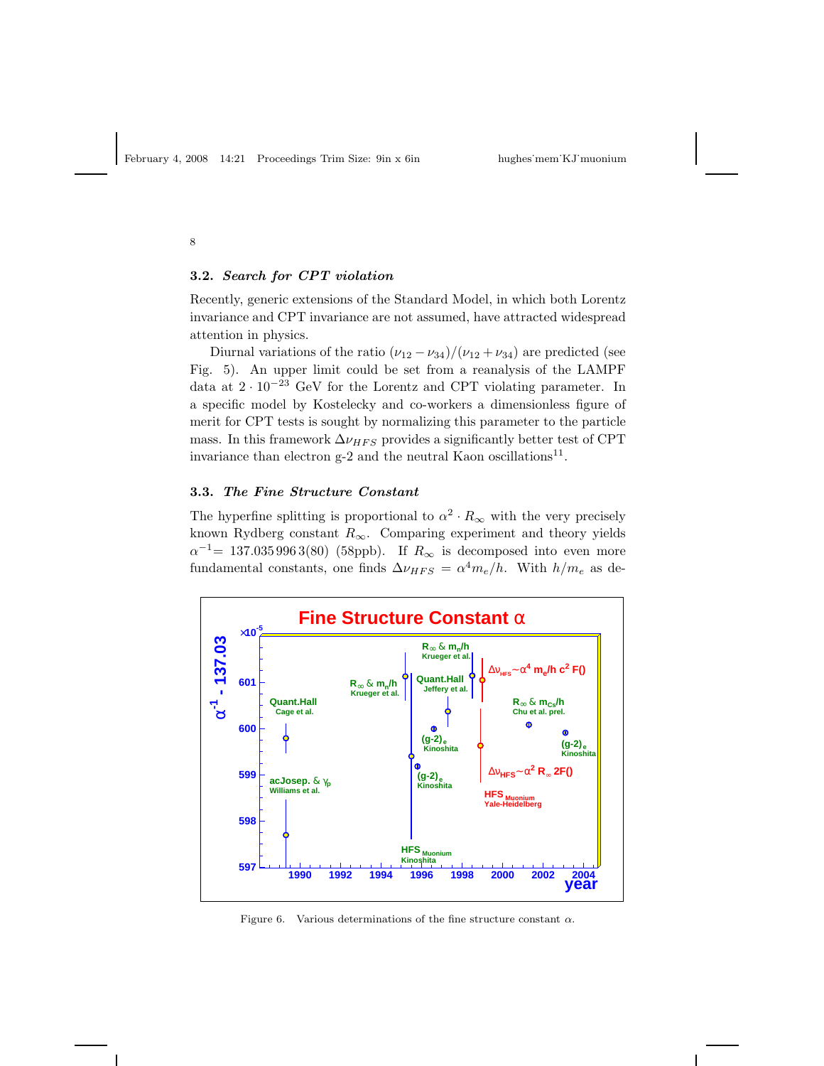# 3.2. Search for CPT violation

Recently, generic extensions of the Standard Model, in which both Lorentz invariance and CPT invariance are not assumed, have attracted widespread attention in physics.

Diurnal variations of the ratio  $(\nu_{12} - \nu_{34})/(\nu_{12} + \nu_{34})$  are predicted (see Fig. 5). An upper limit could be set from a reanalysis of the LAMPF data at  $2 \cdot 10^{-23}$  GeV for the Lorentz and CPT violating parameter. In a specific model by Kostelecky and co-workers a dimensionless figure of merit for CPT tests is sought by normalizing this parameter to the particle mass. In this framework  $\Delta\nu_{HFS}$  provides a significantly better test of CPT invariance than electron  $g-2$  and the neutral Kaon oscillations<sup>11</sup>.

# 3.3. The Fine Structure Constant

The hyperfine splitting is proportional to  $\alpha^2 \cdot R_{\infty}$  with the very precisely known Rydberg constant  $R_{\infty}$ . Comparing experiment and theory yields  $\alpha^{-1}$  = 137.035 996 3(80) (58ppb). If  $R_{\infty}$  is decomposed into even more fundamental constants, one finds  $\Delta \nu_{HFS} = \alpha^4 m_e/h$ . With  $h/m_e$  as de-



Figure 6. Various determinations of the fine structure constant  $\alpha$ .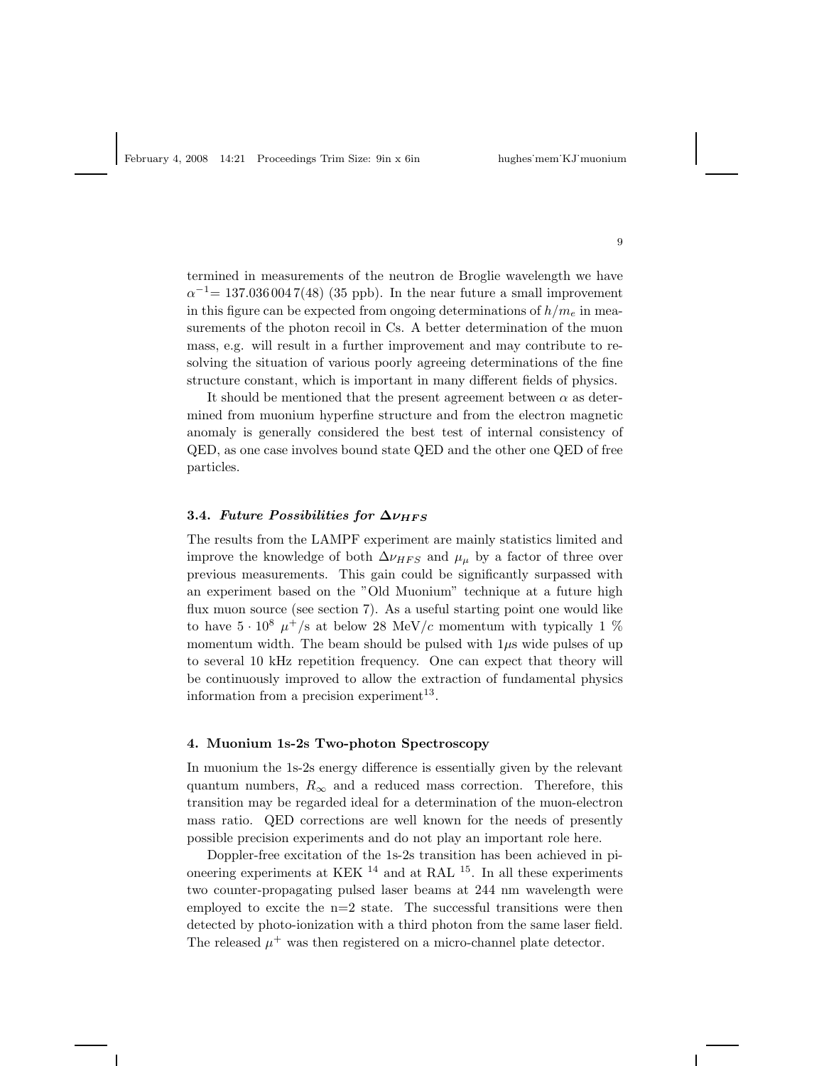termined in measurements of the neutron de Broglie wavelength we have  $\alpha^{-1}$  = 137.036 004 7(48) (35 ppb). In the near future a small improvement in this figure can be expected from ongoing determinations of  $h/m_e$  in measurements of the photon recoil in Cs. A better determination of the muon mass, e.g. will result in a further improvement and may contribute to resolving the situation of various poorly agreeing determinations of the fine structure constant, which is important in many different fields of physics.

It should be mentioned that the present agreement between  $\alpha$  as determined from muonium hyperfine structure and from the electron magnetic anomaly is generally considered the best test of internal consistency of QED, as one case involves bound state QED and the other one QED of free particles.

# 3.4. Future Possibilities for  $\Delta\nu_{HFS}$

The results from the LAMPF experiment are mainly statistics limited and improve the knowledge of both  $\Delta\nu_{HFS}$  and  $\mu_{\mu}$  by a factor of three over previous measurements. This gain could be significantly surpassed with an experiment based on the "Old Muonium" technique at a future high flux muon source (see section 7). As a useful starting point one would like to have  $5 \cdot 10^8$   $\mu^+/s$  at below 28 MeV/c momentum with typically 1 % momentum width. The beam should be pulsed with  $1\mu s$  wide pulses of up to several 10 kHz repetition frequency. One can expect that theory will be continuously improved to allow the extraction of fundamental physics information from a precision experiment<sup>13</sup>.

### 4. Muonium 1s-2s Two-photon Spectroscopy

In muonium the 1s-2s energy difference is essentially given by the relevant quantum numbers,  $R_{\infty}$  and a reduced mass correction. Therefore, this transition may be regarded ideal for a determination of the muon-electron mass ratio. QED corrections are well known for the needs of presently possible precision experiments and do not play an important role here.

Doppler-free excitation of the 1s-2s transition has been achieved in pioneering experiments at KEK  $^{14}$  and at RAL  $^{15}$ . In all these experiments two counter-propagating pulsed laser beams at 244 nm wavelength were employed to excite the  $n=2$  state. The successful transitions were then detected by photo-ionization with a third photon from the same laser field. The released  $\mu^+$  was then registered on a micro-channel plate detector.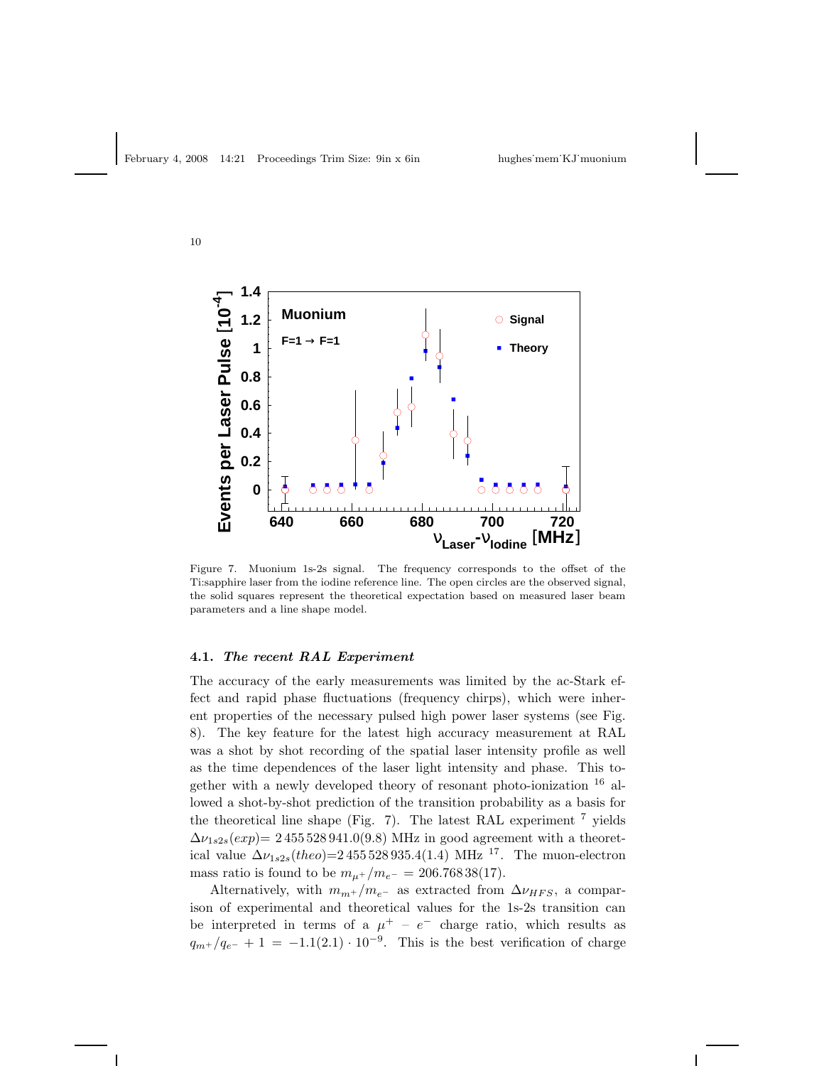

Figure 7. Muonium 1s-2s signal. The frequency corresponds to the offset of the Ti:sapphire laser from the iodine reference line. The open circles are the observed signal, the solid squares represent the theoretical expectation based on measured laser beam parameters and a line shape model.

# 4.1. The recent RAL Experiment

The accuracy of the early measurements was limited by the ac-Stark effect and rapid phase fluctuations (frequency chirps), which were inherent properties of the necessary pulsed high power laser systems (see Fig. 8). The key feature for the latest high accuracy measurement at RAL was a shot by shot recording of the spatial laser intensity profile as well as the time dependences of the laser light intensity and phase. This together with a newly developed theory of resonant photo-ionization <sup>16</sup> allowed a shot-by-shot prediction of the transition probability as a basis for the theoretical line shape (Fig.  $7$ ). The latest RAL experiment  $7$  yields  $\Delta\nu_{1s2s}(exp)$  = 2455528941.0(9.8) MHz in good agreement with a theoretical value  $\Delta \nu_{1s2s}(theo) = 2\,455\,528\,935.4(1.4)$  MHz <sup>17</sup>. The muon-electron mass ratio is found to be  $m_{\mu^+}/m_{e^-} = 206.76838(17)$ .

Alternatively, with  $m_{m+}/m_{e-}$  as extracted from  $\Delta\nu_{HFS}$ , a comparison of experimental and theoretical values for the 1s-2s transition can be interpreted in terms of a  $\mu^+$  –  $e^-$  charge ratio, which results as  $q_{m+}/q_{e-} + 1 = -1.1(2.1) \cdot 10^{-9}$ . This is the best verification of charge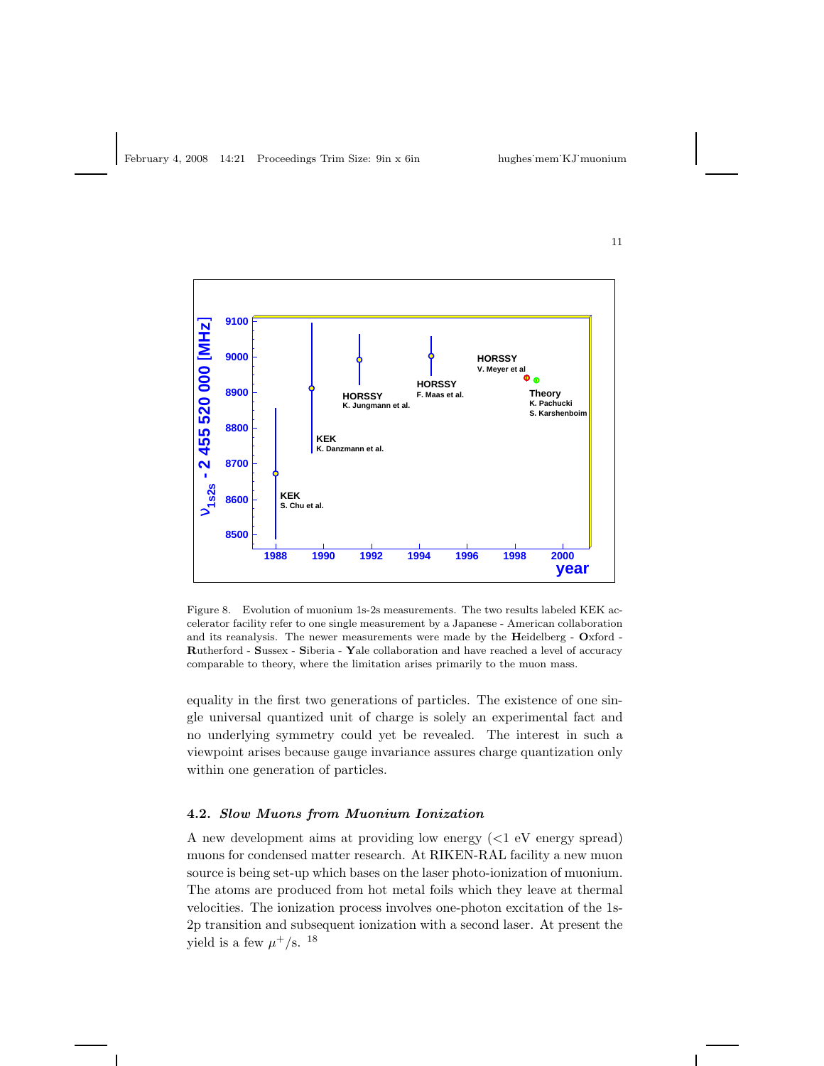

Figure 8. Evolution of muonium 1s-2s measurements. The two results labeled KEK accelerator facility refer to one single measurement by a Japanese - American collaboration and its reanalysis. The newer measurements were made by the Heidelberg - Oxford - Rutherford - Sussex - Siberia - Yale collaboration and have reached a level of accuracy comparable to theory, where the limitation arises primarily to the muon mass.

equality in the first two generations of particles. The existence of one single universal quantized unit of charge is solely an experimental fact and no underlying symmetry could yet be revealed. The interest in such a viewpoint arises because gauge invariance assures charge quantization only within one generation of particles.

# 4.2. Slow Muons from Muonium Ionization

A new development aims at providing low energy (<1 eV energy spread) muons for condensed matter research. At RIKEN-RAL facility a new muon source is being set-up which bases on the laser photo-ionization of muonium. The atoms are produced from hot metal foils which they leave at thermal velocities. The ionization process involves one-photon excitation of the 1s-2p transition and subsequent ionization with a second laser. At present the yield is a few  $\mu^+/s$ . <sup>18</sup>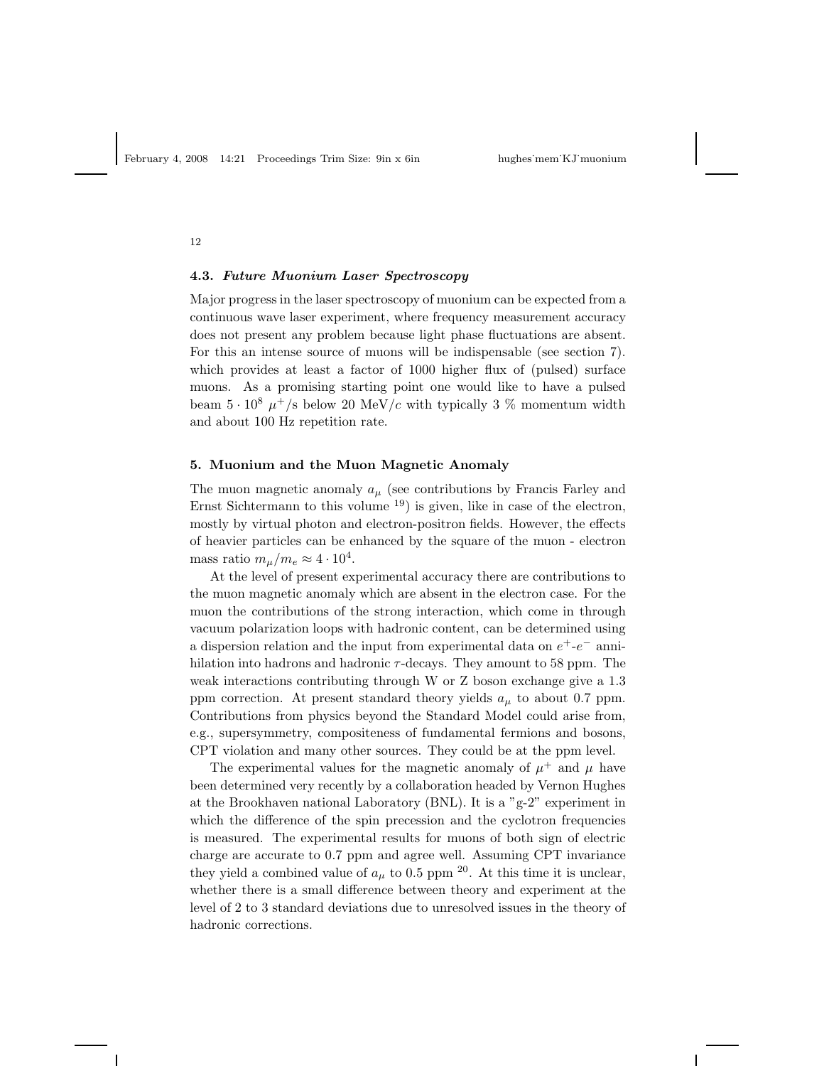# 4.3. Future Muonium Laser Spectroscopy

Major progress in the laser spectroscopy of muonium can be expected from a continuous wave laser experiment, where frequency measurement accuracy does not present any problem because light phase fluctuations are absent. For this an intense source of muons will be indispensable (see section 7). which provides at least a factor of 1000 higher flux of (pulsed) surface muons. As a promising starting point one would like to have a pulsed beam  $5 \cdot 10^8 \mu^+ / s$  below 20 MeV/c with typically 3 % momentum width and about 100 Hz repetition rate.

# 5. Muonium and the Muon Magnetic Anomaly

The muon magnetic anomaly  $a_{\mu}$  (see contributions by Francis Farley and Ernst Sichtermann to this volume  $^{19}$ ) is given, like in case of the electron, mostly by virtual photon and electron-positron fields. However, the effects of heavier particles can be enhanced by the square of the muon - electron mass ratio  $m_{\mu}/m_e \approx 4 \cdot 10^4$ .

At the level of present experimental accuracy there are contributions to the muon magnetic anomaly which are absent in the electron case. For the muon the contributions of the strong interaction, which come in through vacuum polarization loops with hadronic content, can be determined using a dispersion relation and the input from experimental data on  $e^+$ - $e^-$  annihilation into hadrons and hadronic  $\tau$ -decays. They amount to 58 ppm. The weak interactions contributing through W or Z boson exchange give a 1.3 ppm correction. At present standard theory yields  $a<sub>u</sub>$  to about 0.7 ppm. Contributions from physics beyond the Standard Model could arise from, e.g., supersymmetry, compositeness of fundamental fermions and bosons, CPT violation and many other sources. They could be at the ppm level.

The experimental values for the magnetic anomaly of  $\mu^+$  and  $\mu$  have been determined very recently by a collaboration headed by Vernon Hughes at the Brookhaven national Laboratory (BNL). It is a "g-2" experiment in which the difference of the spin precession and the cyclotron frequencies is measured. The experimental results for muons of both sign of electric charge are accurate to 0.7 ppm and agree well. Assuming CPT invariance they yield a combined value of  $a_{\mu}$  to 0.5 ppm <sup>20</sup>. At this time it is unclear, whether there is a small difference between theory and experiment at the level of 2 to 3 standard deviations due to unresolved issues in the theory of hadronic corrections.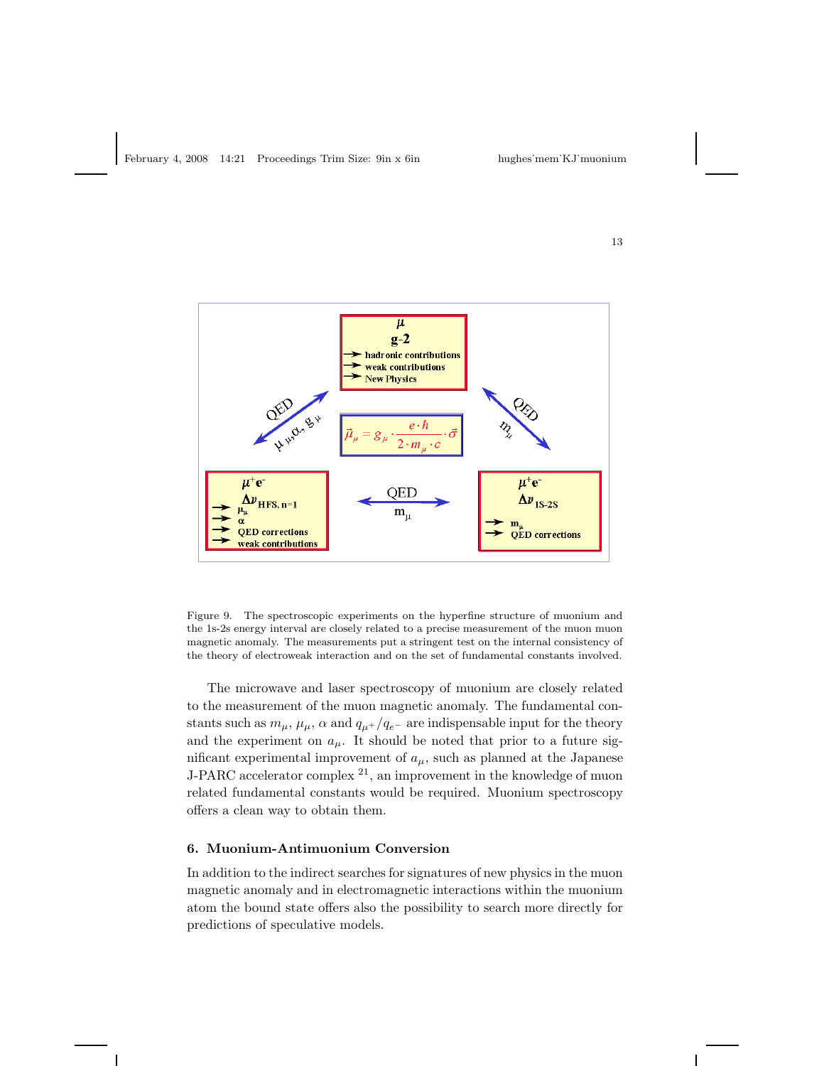



Figure 9. The spectroscopic experiments on the hyperfine structure of muonium and the 1s-2s energy interval are closely related to a precise measurement of the muon muon magnetic anomaly. The measurements put a stringent test on the internal consistency of the theory of electroweak interaction and on the set of fundamental constants involved.

The microwave and laser spectroscopy of muonium are closely related to the measurement of the muon magnetic anomaly. The fundamental constants such as  $m_{\mu}$ ,  $\mu_{\mu}$ ,  $\alpha$  and  $q_{\mu^+}/q_{e^-}$  are indispensable input for the theory and the experiment on  $a_{\mu}$ . It should be noted that prior to a future significant experimental improvement of  $a_{\mu}$ , such as planned at the Japanese J-PARC accelerator complex  $21$ , an improvement in the knowledge of muon related fundamental constants would be required. Muonium spectroscopy offers a clean way to obtain them.

# 6. Muonium-Antimuonium Conversion

In addition to the indirect searches for signatures of new physics in the muon magnetic anomaly and in electromagnetic interactions within the muonium atom the bound state offers also the possibility to search more directly for predictions of speculative models.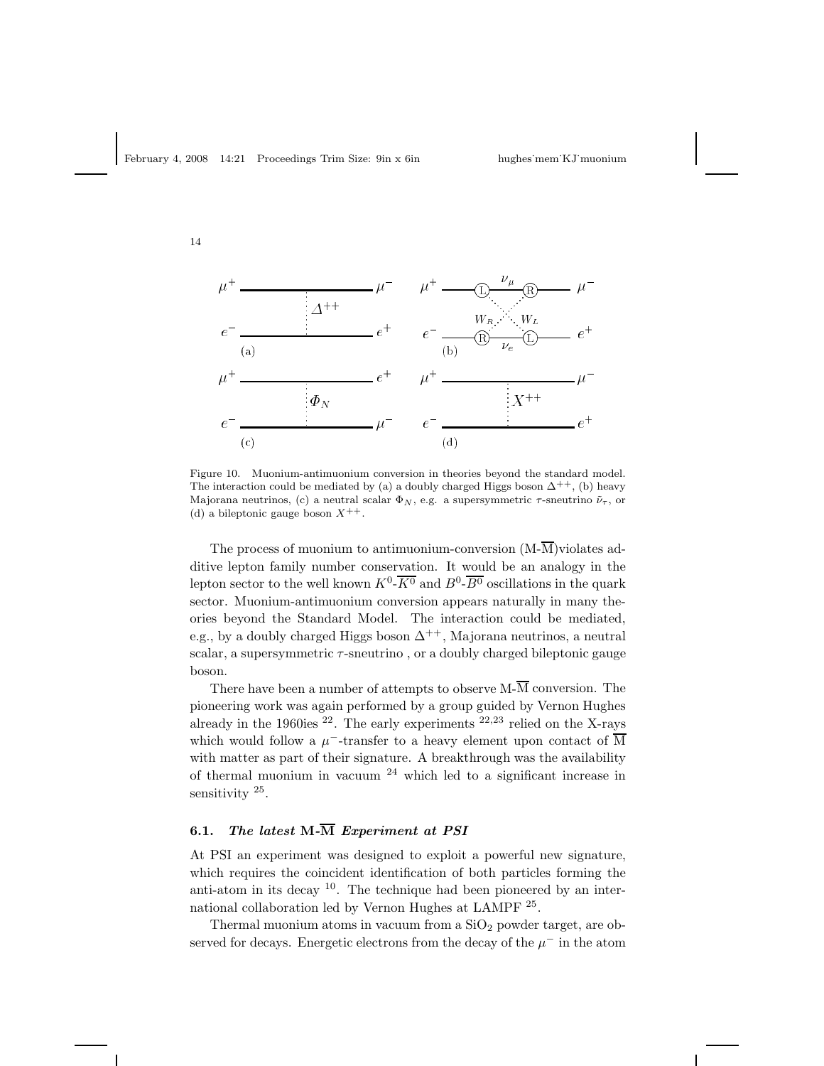

Figure 10. Muonium-antimuonium conversion in theories beyond the standard model. The interaction could be mediated by (a) a doubly charged Higgs boson  $\Delta^{++}$ , (b) heavy Majorana neutrinos, (c) a neutral scalar  $\Phi_N$ , e.g. a supersymmetric  $\tau$ -sneutrino  $\tilde{\nu}_{\tau}$ , or (d) a bileptonic gauge boson  $X^{++}$ .

The process of muonium to antimuonium-conversion  $(M-\overline{M})$  violates additive lepton family number conservation. It would be an analogy in the lepton sector to the well known  $K^0$ - $\overline{K^0}$  and  $B^0$ - $\overline{B^0}$  oscillations in the quark sector. Muonium-antimuonium conversion appears naturally in many theories beyond the Standard Model. The interaction could be mediated, e.g., by a doubly charged Higgs boson  $\Delta^{++}$ , Majorana neutrinos, a neutral scalar, a supersymmetric  $\tau$ -sneutrino, or a doubly charged bileptonic gauge boson.

There have been a number of attempts to observe  $M-\overline{M}$  conversion. The pioneering work was again performed by a group guided by Vernon Hughes already in the 1960ies  $^{22}$ . The early experiments  $^{22,23}$  relied on the X-rays which would follow a  $\mu^-$ -transfer to a heavy element upon contact of  $\overline{M}$ with matter as part of their signature. A breakthrough was the availability of thermal muonium in vacuum  $24$  which led to a significant increase in sensitivity <sup>25</sup>.

# 6.1. The latest M- $\overline{M}$  Experiment at PSI

At PSI an experiment was designed to exploit a powerful new signature, which requires the coincident identification of both particles forming the anti-atom in its decay  $10$ . The technique had been pioneered by an international collaboration led by Vernon Hughes at LAMPF<sup>25</sup>.

Thermal muonium atoms in vacuum from a  $SiO<sub>2</sub>$  powder target, are observed for decays. Energetic electrons from the decay of the  $\mu^-$  in the atom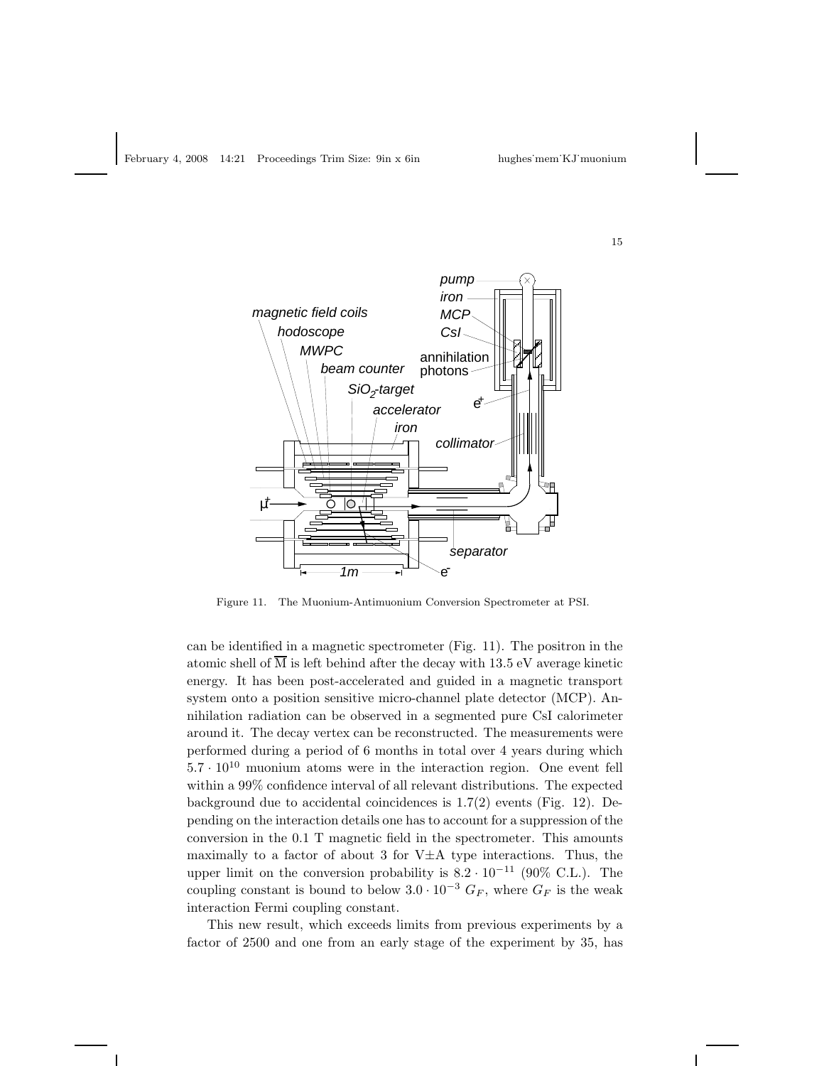



Figure 11. The Muonium-Antimuonium Conversion Spectrometer at PSI.

can be identified in a magnetic spectrometer (Fig. 11). The positron in the atomic shell of  $\overline{M}$  is left behind after the decay with 13.5 eV average kinetic energy. It has been post-accelerated and guided in a magnetic transport system onto a position sensitive micro-channel plate detector (MCP). Annihilation radiation can be observed in a segmented pure CsI calorimeter around it. The decay vertex can be reconstructed. The measurements were performed during a period of 6 months in total over 4 years during which  $5.7 \cdot 10^{10}$  muonium atoms were in the interaction region. One event fell within a 99% confidence interval of all relevant distributions. The expected background due to accidental coincidences is  $1.7(2)$  events (Fig. 12). Depending on the interaction details one has to account for a suppression of the conversion in the 0.1 T magnetic field in the spectrometer. This amounts maximally to a factor of about 3 for  $V\pm A$  type interactions. Thus, the upper limit on the conversion probability is  $8.2 \cdot 10^{-11}$  (90% C.L.). The coupling constant is bound to below  $3.0 \cdot 10^{-3} G_F$ , where  $G_F$  is the weak interaction Fermi coupling constant.

This new result, which exceeds limits from previous experiments by a factor of 2500 and one from an early stage of the experiment by 35, has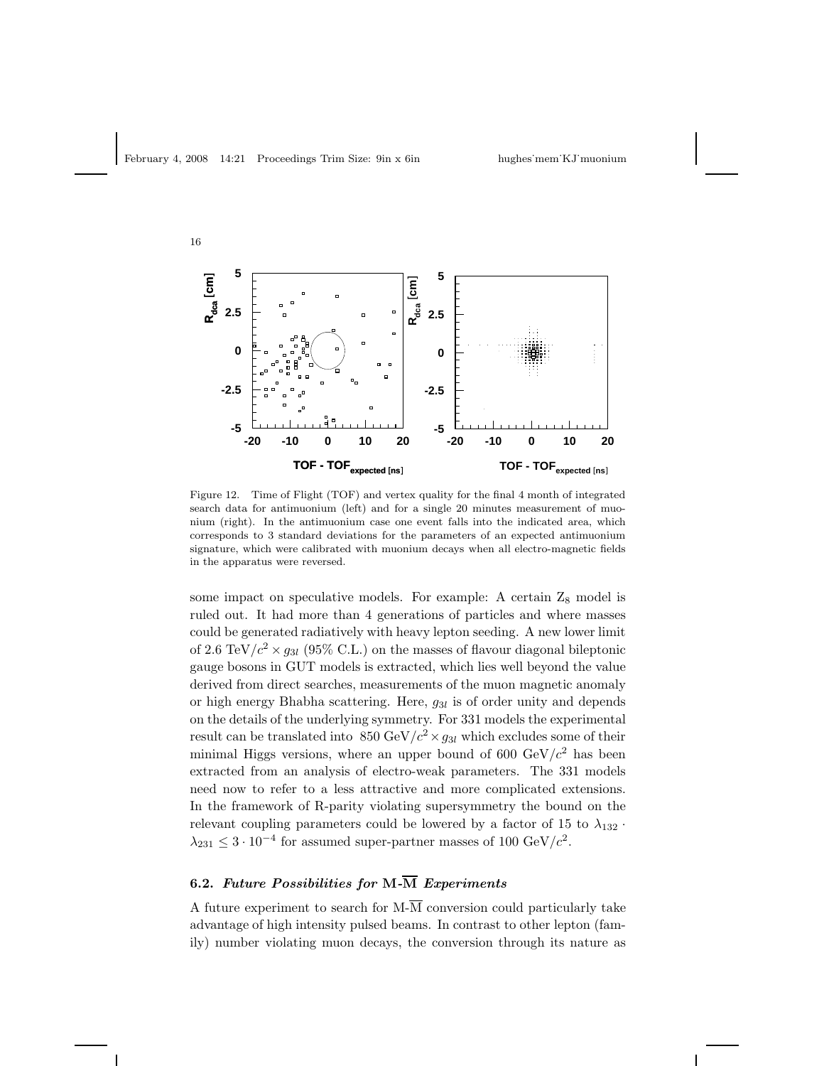

Figure 12. Time of Flight (TOF) and vertex quality for the final 4 month of integrated search data for antimuonium (left) and for a single 20 minutes measurement of muonium (right). In the antimuonium case one event falls into the indicated area, which corresponds to 3 standard deviations for the parameters of an expected antimuonium signature, which were calibrated with muonium decays when all electro-magnetic fields in the apparatus were reversed.

some impact on speculative models. For example: A certain  $Z_8$  model is ruled out. It had more than 4 generations of particles and where masses could be generated radiatively with heavy lepton seeding. A new lower limit of 2.6 TeV/ $c^2 \times g_{3l}$  (95% C.L.) on the masses of flavour diagonal bileptonic gauge bosons in GUT models is extracted, which lies well beyond the value derived from direct searches, measurements of the muon magnetic anomaly or high energy Bhabha scattering. Here,  $g_{3l}$  is of order unity and depends on the details of the underlying symmetry. For 331 models the experimental result can be translated into  $850 \text{ GeV}/c^2 \times g_{3l}$  which excludes some of their minimal Higgs versions, where an upper bound of 600  $\text{GeV}/c^2$  has been extracted from an analysis of electro-weak parameters. The 331 models need now to refer to a less attractive and more complicated extensions. In the framework of R-parity violating supersymmetry the bound on the relevant coupling parameters could be lowered by a factor of 15 to  $\lambda_{132}$ .  $\lambda_{231} \leq 3 \cdot 10^{-4}$  for assumed super-partner masses of 100 GeV/ $c^2$ .

# 6.2. Future Possibilities for M- $\overline{M}$  Experiments

A future experiment to search for  $M-\overline{M}$  conversion could particularly take advantage of high intensity pulsed beams. In contrast to other lepton (family) number violating muon decays, the conversion through its nature as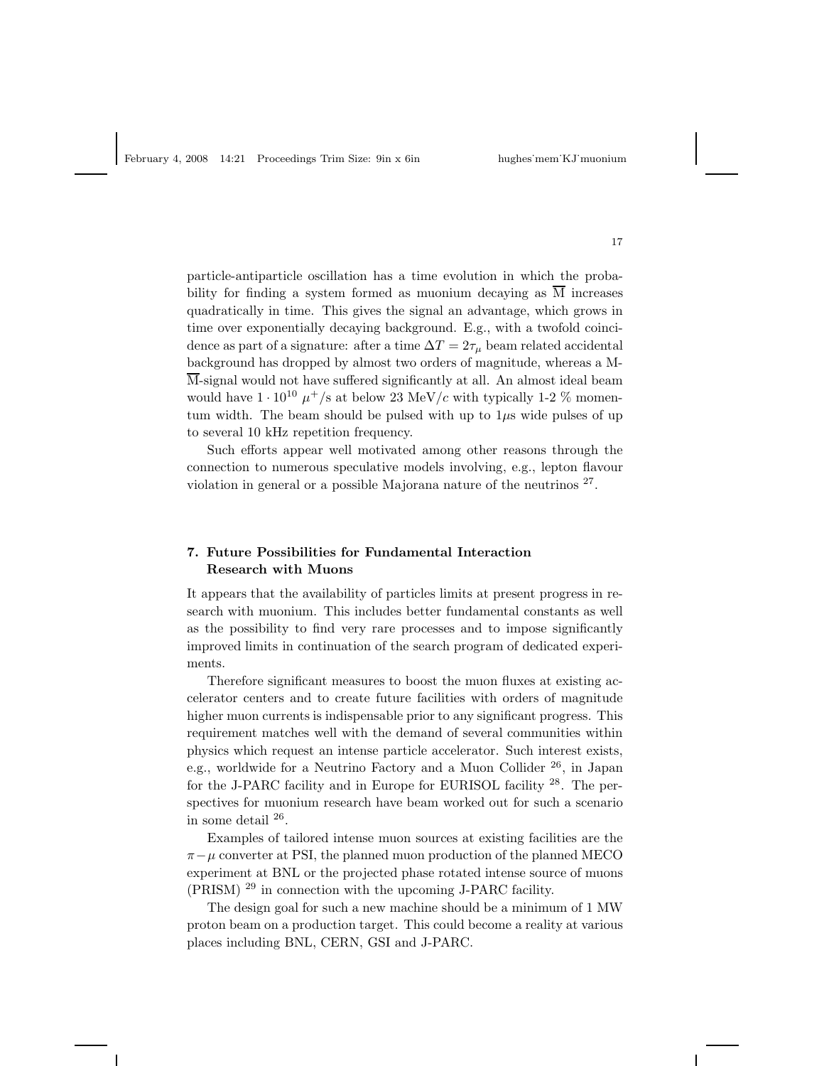particle-antiparticle oscillation has a time evolution in which the probability for finding a system formed as muonium decaying as  $\overline{M}$  increases quadratically in time. This gives the signal an advantage, which grows in time over exponentially decaying background. E.g., with a twofold coincidence as part of a signature: after a time  $\Delta T = 2\tau_\mu$  beam related accidental background has dropped by almost two orders of magnitude, whereas a M- $\overline{M}$ -signal would not have suffered significantly at all. An almost ideal beam would have  $1 \cdot 10^{10} \mu^{+}/s$  at below 23 MeV/c with typically 1-2 % momentum width. The beam should be pulsed with up to  $1\mu s$  wide pulses of up to several 10 kHz repetition frequency.

Such efforts appear well motivated among other reasons through the connection to numerous speculative models involving, e.g., lepton flavour violation in general or a possible Majorana nature of the neutrinos  $27$ .

# 7. Future Possibilities for Fundamental Interaction Research with Muons

It appears that the availability of particles limits at present progress in research with muonium. This includes better fundamental constants as well as the possibility to find very rare processes and to impose significantly improved limits in continuation of the search program of dedicated experiments.

Therefore significant measures to boost the muon fluxes at existing accelerator centers and to create future facilities with orders of magnitude higher muon currents is indispensable prior to any significant progress. This requirement matches well with the demand of several communities within physics which request an intense particle accelerator. Such interest exists, e.g., worldwide for a Neutrino Factory and a Muon Collider <sup>26</sup>, in Japan for the J-PARC facility and in Europe for EURISOL facility <sup>28</sup>. The perspectives for muonium research have beam worked out for such a scenario in some detail <sup>26</sup> .

Examples of tailored intense muon sources at existing facilities are the  $\pi-\mu$  converter at PSI, the planned muon production of the planned MECO experiment at BNL or the projected phase rotated intense source of muons (PRISM) <sup>29</sup> in connection with the upcoming J-PARC facility.

The design goal for such a new machine should be a minimum of 1 MW proton beam on a production target. This could become a reality at various places including BNL, CERN, GSI and J-PARC.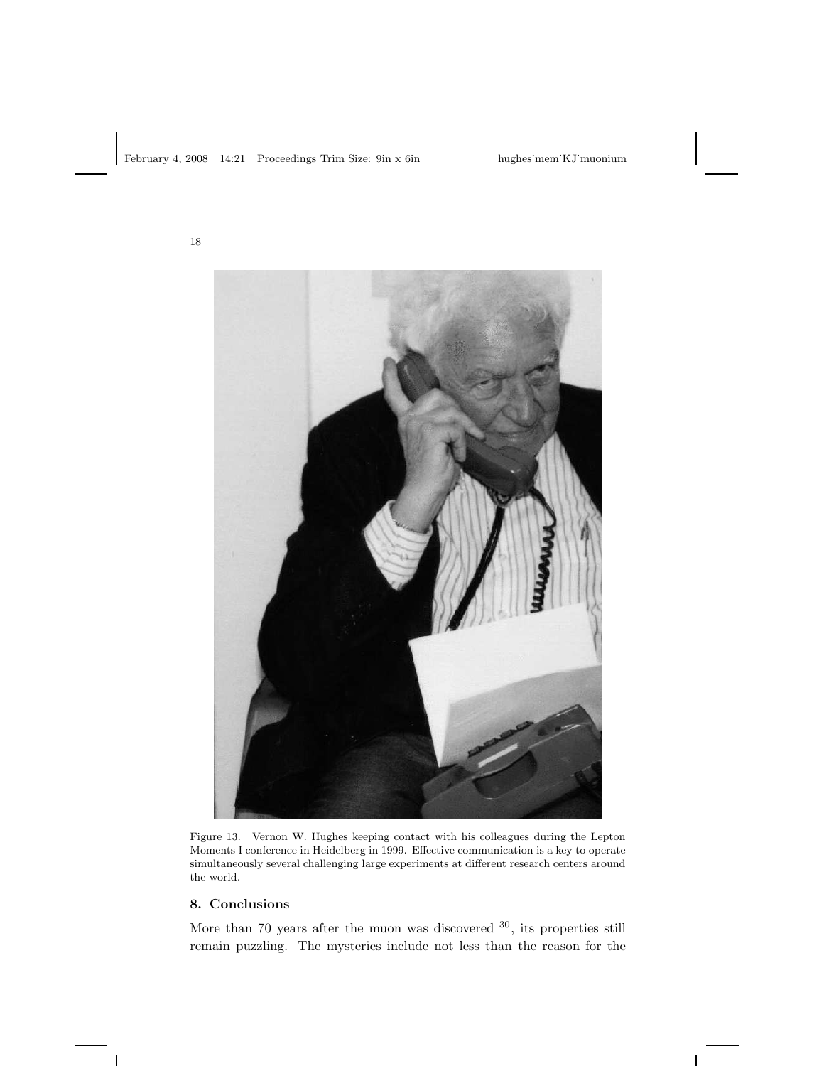

Figure 13. Vernon W. Hughes keeping contact with his colleagues during the Lepton Moments I conference in Heidelberg in 1999. Effective communication is a key to operate simultaneously several challenging large experiments at different research centers around the world.

# 8. Conclusions

More than 70 years after the muon was discovered <sup>30</sup>, its properties still remain puzzling. The mysteries include not less than the reason for the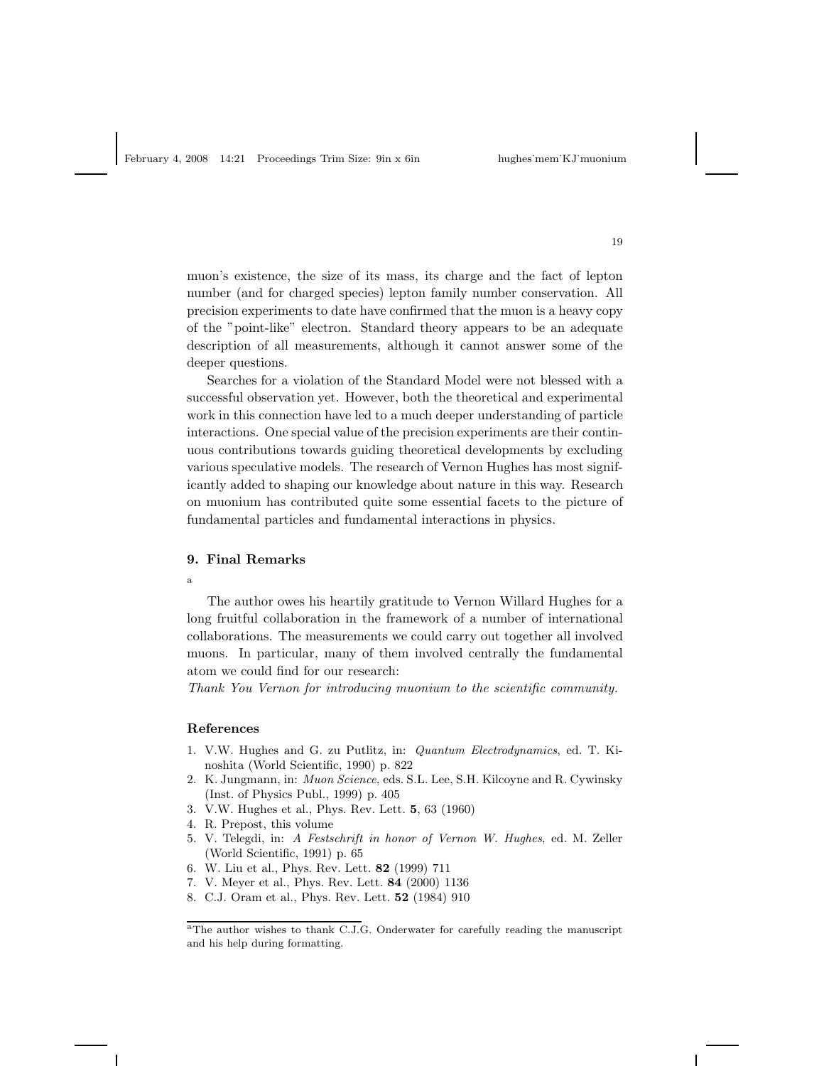muon's existence, the size of its mass, its charge and the fact of lepton number (and for charged species) lepton family number conservation. All precision experiments to date have confirmed that the muon is a heavy copy of the "point-like" electron. Standard theory appears to be an adequate description of all measurements, although it cannot answer some of the deeper questions.

Searches for a violation of the Standard Model were not blessed with a successful observation yet. However, both the theoretical and experimental work in this connection have led to a much deeper understanding of particle interactions. One special value of the precision experiments are their continuous contributions towards guiding theoretical developments by excluding various speculative models. The research of Vernon Hughes has most significantly added to shaping our knowledge about nature in this way. Research on muonium has contributed quite some essential facets to the picture of fundamental particles and fundamental interactions in physics.

# 9. Final Remarks

a

The author owes his heartily gratitude to Vernon Willard Hughes for a long fruitful collaboration in the framework of a number of international collaborations. The measurements we could carry out together all involved muons. In particular, many of them involved centrally the fundamental atom we could find for our research:

Thank You Vernon for introducing muonium to the scientific community.

# References

- 1. V.W. Hughes and G. zu Putlitz, in: *Quantum Electrodynamics*, ed. T. Kinoshita (World Scientific, 1990) p. 822
- 2. K. Jungmann, in: *Muon Science*, eds. S.L. Lee, S.H. Kilcoyne and R. Cywinsky (Inst. of Physics Publ., 1999) p. 405
- 3. V.W. Hughes et al., Phys. Rev. Lett. 5, 63 (1960)
- 4. R. Prepost, this volume
- 5. V. Telegdi, in: *A Festschrift in honor of Vernon W. Hughes*, ed. M. Zeller (World Scientific, 1991) p. 65
- 6. W. Liu et al., Phys. Rev. Lett. 82 (1999) 711
- 7. V. Meyer et al., Phys. Rev. Lett. 84 (2000) 1136
- 8. C.J. Oram et al., Phys. Rev. Lett. 52 (1984) 910

<sup>a</sup>The author wishes to thank C.J.G. Onderwater for carefully reading the manuscript and his help during formatting.